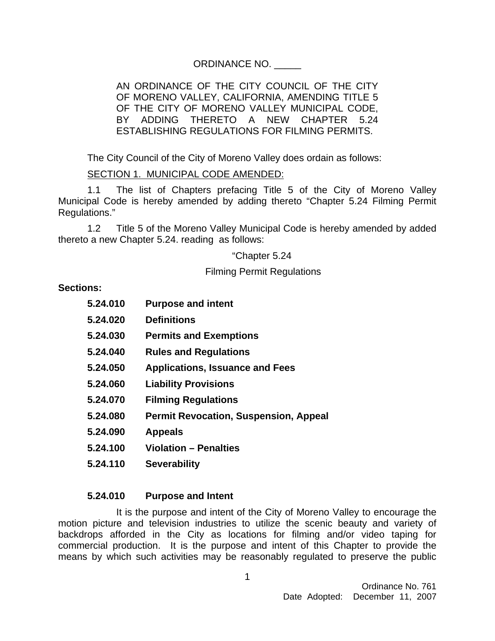## ORDINANCE NO. \_\_\_\_\_

### AN ORDINANCE OF THE CITY COUNCIL OF THE CITY OF MORENO VALLEY, CALIFORNIA, AMENDING TITLE 5 OF THE CITY OF MORENO VALLEY MUNICIPAL CODE, BY ADDING THERETO A NEW CHAPTER 5.24 ESTABLISHING REGULATIONS FOR FILMING PERMITS.

The City Council of the City of Moreno Valley does ordain as follows:

# SECTION 1. MUNICIPAL CODE AMENDED:

1.1 The list of Chapters prefacing Title 5 of the City of Moreno Valley Municipal Code is hereby amended by adding thereto "Chapter 5.24 Filming Permit Regulations."

1.2 Title 5 of the Moreno Valley Municipal Code is hereby amended by added thereto a new Chapter 5.24. reading as follows:

"Chapter 5.24

Filming Permit Regulations

### **Sections:**

- **5.24.010 Purpose and intent 5.24.020 Definitions 5.24.030 Permits and Exemptions 5.24.040 Rules and Regulations 5.24.050 Applications, Issuance and Fees 5.24.060 Liability Provisions**
- **5.24.070 Filming Regulations**
- **5.24.080 Permit Revocation, Suspension, Appeal**
- **5.24.090 Appeals**
- **5.24.100 Violation Penalties**
- **5.24.110 Severability**

### **5.24.010 Purpose and Intent**

It is the purpose and intent of the City of Moreno Valley to encourage the motion picture and television industries to utilize the scenic beauty and variety of backdrops afforded in the City as locations for filming and/or video taping for commercial production. It is the purpose and intent of this Chapter to provide the means by which such activities may be reasonably regulated to preserve the public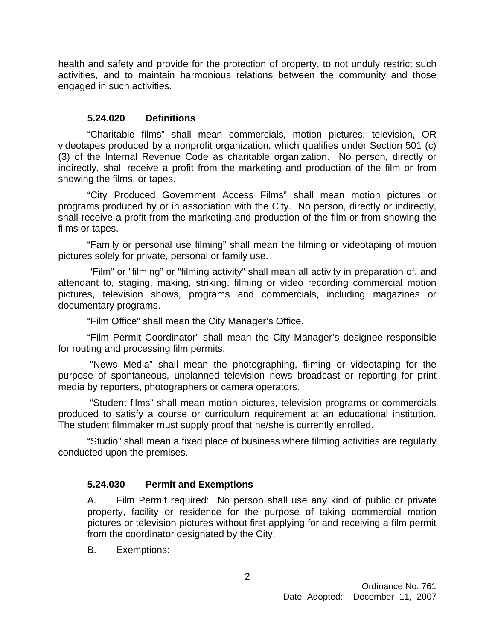health and safety and provide for the protection of property, to not unduly restrict such activities, and to maintain harmonious relations between the community and those engaged in such activities.

## **5.24.020 Definitions**

"Charitable films" shall mean commercials, motion pictures, television, OR videotapes produced by a nonprofit organization, which qualifies under Section 501 (c) (3) of the Internal Revenue Code as charitable organization. No person, directly or indirectly, shall receive a profit from the marketing and production of the film or from showing the films, or tapes.

"City Produced Government Access Films" shall mean motion pictures or programs produced by or in association with the City. No person, directly or indirectly, shall receive a profit from the marketing and production of the film or from showing the films or tapes.

 "Family or personal use filming" shall mean the filming or videotaping of motion pictures solely for private, personal or family use.

"Film" or "filming" or "filming activity" shall mean all activity in preparation of, and attendant to, staging, making, striking, filming or video recording commercial motion pictures, television shows, programs and commercials, including magazines or documentary programs.

"Film Office" shall mean the City Manager's Office.

"Film Permit Coordinator" shall mean the City Manager's designee responsible for routing and processing film permits.

 "News Media" shall mean the photographing, filming or videotaping for the purpose of spontaneous, unplanned television news broadcast or reporting for print media by reporters, photographers or camera operators.

 "Student films" shall mean motion pictures, television programs or commercials produced to satisfy a course or curriculum requirement at an educational institution. The student filmmaker must supply proof that he/she is currently enrolled.

"Studio" shall mean a fixed place of business where filming activities are regularly conducted upon the premises.

### **5.24.030 Permit and Exemptions**

A. Film Permit required: No person shall use any kind of public or private property, facility or residence for the purpose of taking commercial motion pictures or television pictures without first applying for and receiving a film permit from the coordinator designated by the City.

B. Exemptions: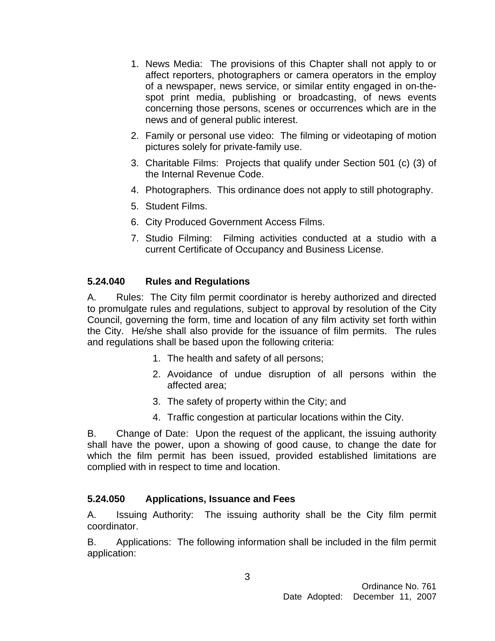- 1. News Media: The provisions of this Chapter shall not apply to or affect reporters, photographers or camera operators in the employ of a newspaper, news service, or similar entity engaged in on-thespot print media, publishing or broadcasting, of news events concerning those persons, scenes or occurrences which are in the news and of general public interest.
- 2. Family or personal use video: The filming or videotaping of motion pictures solely for private-family use.
- 3. Charitable Films: Projects that qualify under Section 501 (c) (3) of the Internal Revenue Code.
- 4. Photographers. This ordinance does not apply to still photography.
- 5. Student Films.
- 6. City Produced Government Access Films.
- 7. Studio Filming: Filming activities conducted at a studio with a current Certificate of Occupancy and Business License.

# **5.24.040 Rules and Regulations**

A. Rules: The City film permit coordinator is hereby authorized and directed to promulgate rules and regulations, subject to approval by resolution of the City Council, governing the form, time and location of any film activity set forth within the City. He/she shall also provide for the issuance of film permits. The rules and regulations shall be based upon the following criteria:

- 1. The health and safety of all persons;
- 2. Avoidance of undue disruption of all persons within the affected area;
- 3. The safety of property within the City; and
- 4. Traffic congestion at particular locations within the City.

B. Change of Date: Upon the request of the applicant, the issuing authority shall have the power, upon a showing of good cause, to change the date for which the film permit has been issued, provided established limitations are complied with in respect to time and location.

# **5.24.050 Applications, Issuance and Fees**

A. Issuing Authority: The issuing authority shall be the City film permit coordinator.

B. Applications: The following information shall be included in the film permit application: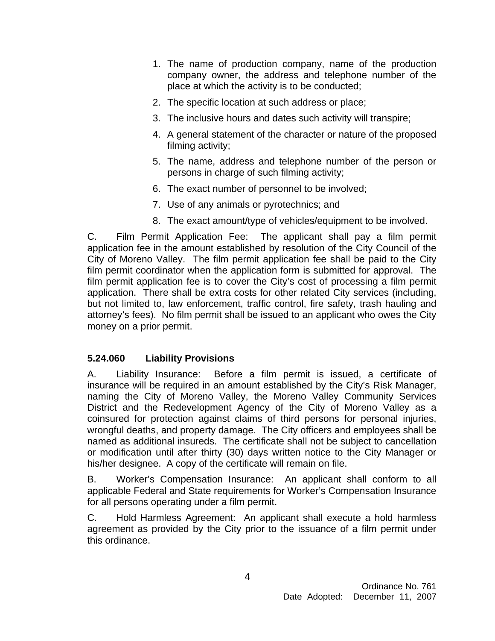- 1. The name of production company, name of the production company owner, the address and telephone number of the place at which the activity is to be conducted;
- 2. The specific location at such address or place;
- 3. The inclusive hours and dates such activity will transpire;
- 4. A general statement of the character or nature of the proposed filming activity;
- 5. The name, address and telephone number of the person or persons in charge of such filming activity;
- 6. The exact number of personnel to be involved;
- 7. Use of any animals or pyrotechnics; and
- 8. The exact amount/type of vehicles/equipment to be involved.

C. Film Permit Application Fee: The applicant shall pay a film permit application fee in the amount established by resolution of the City Council of the City of Moreno Valley. The film permit application fee shall be paid to the City film permit coordinator when the application form is submitted for approval. The film permit application fee is to cover the City's cost of processing a film permit application. There shall be extra costs for other related City services (including, but not limited to, law enforcement, traffic control, fire safety, trash hauling and attorney's fees). No film permit shall be issued to an applicant who owes the City money on a prior permit.

# **5.24.060 Liability Provisions**

A. Liability Insurance: Before a film permit is issued, a certificate of insurance will be required in an amount established by the City's Risk Manager, naming the City of Moreno Valley, the Moreno Valley Community Services District and the Redevelopment Agency of the City of Moreno Valley as a coinsured for protection against claims of third persons for personal injuries, wrongful deaths, and property damage. The City officers and employees shall be named as additional insureds. The certificate shall not be subject to cancellation or modification until after thirty (30) days written notice to the City Manager or his/her designee. A copy of the certificate will remain on file.

B. Worker's Compensation Insurance: An applicant shall conform to all applicable Federal and State requirements for Worker's Compensation Insurance for all persons operating under a film permit.

C. Hold Harmless Agreement: An applicant shall execute a hold harmless agreement as provided by the City prior to the issuance of a film permit under this ordinance.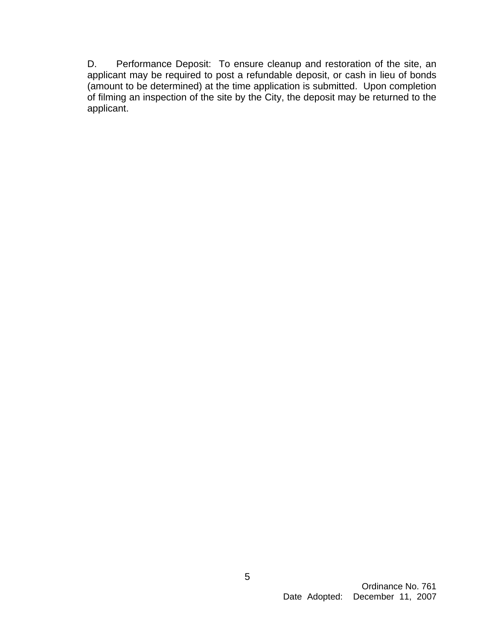D. Performance Deposit: To ensure cleanup and restoration of the site, an applicant may be required to post a refundable deposit, or cash in lieu of bonds (amount to be determined) at the time application is submitted. Upon completion of filming an inspection of the site by the City, the deposit may be returned to the applicant.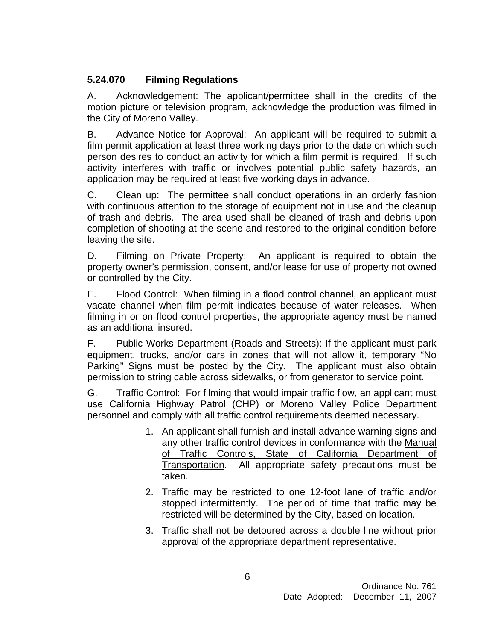# **5.24.070 Filming Regulations**

A. Acknowledgement: The applicant/permittee shall in the credits of the motion picture or television program, acknowledge the production was filmed in the City of Moreno Valley.

B. Advance Notice for Approval: An applicant will be required to submit a film permit application at least three working days prior to the date on which such person desires to conduct an activity for which a film permit is required. If such activity interferes with traffic or involves potential public safety hazards, an application may be required at least five working days in advance.

C. Clean up: The permittee shall conduct operations in an orderly fashion with continuous attention to the storage of equipment not in use and the cleanup of trash and debris. The area used shall be cleaned of trash and debris upon completion of shooting at the scene and restored to the original condition before leaving the site.

D. Filming on Private Property: An applicant is required to obtain the property owner's permission, consent, and/or lease for use of property not owned or controlled by the City.

E. Flood Control: When filming in a flood control channel, an applicant must vacate channel when film permit indicates because of water releases. When filming in or on flood control properties, the appropriate agency must be named as an additional insured.

F. Public Works Department (Roads and Streets): If the applicant must park equipment, trucks, and/or cars in zones that will not allow it, temporary "No Parking" Signs must be posted by the City. The applicant must also obtain permission to string cable across sidewalks, or from generator to service point.

G. Traffic Control: For filming that would impair traffic flow, an applicant must use California Highway Patrol (CHP) or Moreno Valley Police Department personnel and comply with all traffic control requirements deemed necessary.

- 1. An applicant shall furnish and install advance warning signs and any other traffic control devices in conformance with the Manual of Traffic Controls, State of California Department of Transportation. All appropriate safety precautions must be taken.
- 2. Traffic may be restricted to one 12-foot lane of traffic and/or stopped intermittently. The period of time that traffic may be restricted will be determined by the City, based on location.
- 3. Traffic shall not be detoured across a double line without prior approval of the appropriate department representative.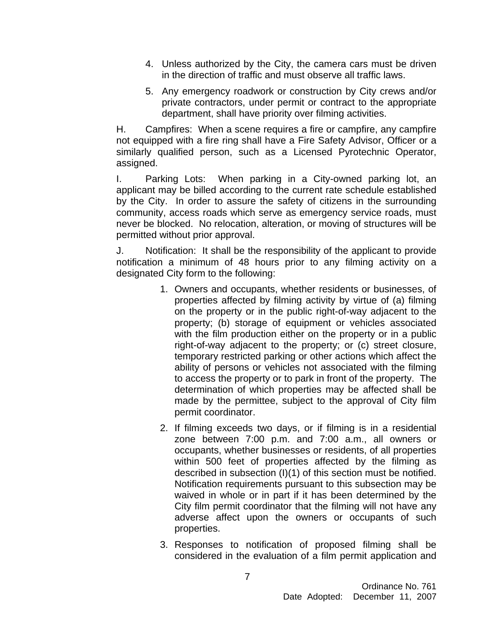- 4. Unless authorized by the City, the camera cars must be driven in the direction of traffic and must observe all traffic laws.
- 5. Any emergency roadwork or construction by City crews and/or private contractors, under permit or contract to the appropriate department, shall have priority over filming activities.

H. Campfires: When a scene requires a fire or campfire, any campfire not equipped with a fire ring shall have a Fire Safety Advisor, Officer or a similarly qualified person, such as a Licensed Pyrotechnic Operator, assigned.

I. Parking Lots: When parking in a City-owned parking lot, an applicant may be billed according to the current rate schedule established by the City. In order to assure the safety of citizens in the surrounding community, access roads which serve as emergency service roads, must never be blocked. No relocation, alteration, or moving of structures will be permitted without prior approval.

J. Notification: It shall be the responsibility of the applicant to provide notification a minimum of 48 hours prior to any filming activity on a designated City form to the following:

- 1. Owners and occupants, whether residents or businesses, of properties affected by filming activity by virtue of (a) filming on the property or in the public right-of-way adjacent to the property; (b) storage of equipment or vehicles associated with the film production either on the property or in a public right-of-way adjacent to the property; or (c) street closure, temporary restricted parking or other actions which affect the ability of persons or vehicles not associated with the filming to access the property or to park in front of the property. The determination of which properties may be affected shall be made by the permittee, subject to the approval of City film permit coordinator.
- 2. If filming exceeds two days, or if filming is in a residential zone between 7:00 p.m. and 7:00 a.m., all owners or occupants, whether businesses or residents, of all properties within 500 feet of properties affected by the filming as described in subsection (I)(1) of this section must be notified. Notification requirements pursuant to this subsection may be waived in whole or in part if it has been determined by the City film permit coordinator that the filming will not have any adverse affect upon the owners or occupants of such properties.
- 3. Responses to notification of proposed filming shall be considered in the evaluation of a film permit application and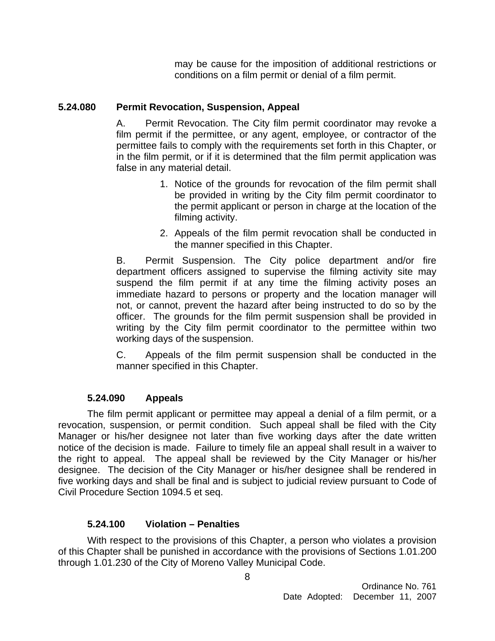may be cause for the imposition of additional restrictions or conditions on a film permit or denial of a film permit.

# **5.24.080 Permit Revocation, Suspension, Appeal**

A. Permit Revocation. The City film permit coordinator may revoke a film permit if the permittee, or any agent, employee, or contractor of the permittee fails to comply with the requirements set forth in this Chapter, or in the film permit, or if it is determined that the film permit application was false in any material detail.

- 1. Notice of the grounds for revocation of the film permit shall be provided in writing by the City film permit coordinator to the permit applicant or person in charge at the location of the filming activity.
- 2. Appeals of the film permit revocation shall be conducted in the manner specified in this Chapter.

B. Permit Suspension. The City police department and/or fire department officers assigned to supervise the filming activity site may suspend the film permit if at any time the filming activity poses an immediate hazard to persons or property and the location manager will not, or cannot, prevent the hazard after being instructed to do so by the officer. The grounds for the film permit suspension shall be provided in writing by the City film permit coordinator to the permittee within two working days of the suspension.

C. Appeals of the film permit suspension shall be conducted in the manner specified in this Chapter.

### **5.24.090 Appeals**

 The film permit applicant or permittee may appeal a denial of a film permit, or a revocation, suspension, or permit condition. Such appeal shall be filed with the City Manager or his/her designee not later than five working days after the date written notice of the decision is made. Failure to timely file an appeal shall result in a waiver to the right to appeal. The appeal shall be reviewed by the City Manager or his/her designee. The decision of the City Manager or his/her designee shall be rendered in five working days and shall be final and is subject to judicial review pursuant to Code of Civil Procedure Section 1094.5 et seq.

### **5.24.100 Violation – Penalties**

With respect to the provisions of this Chapter, a person who violates a provision of this Chapter shall be punished in accordance with the provisions of Sections 1.01.200 through 1.01.230 of the City of Moreno Valley Municipal Code.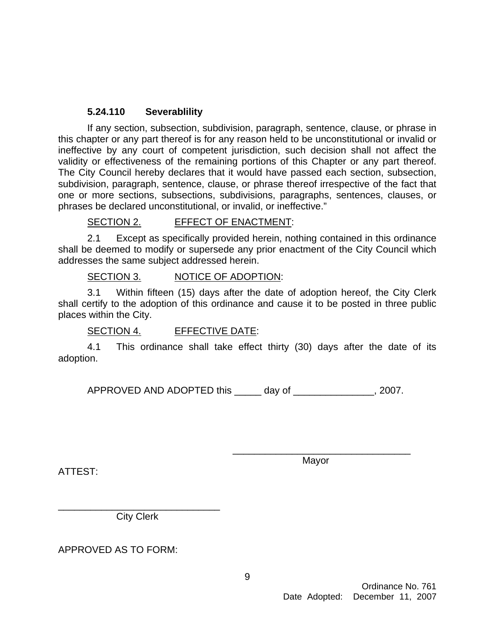### **5.24.110 Severablility**

 If any section, subsection, subdivision, paragraph, sentence, clause, or phrase in this chapter or any part thereof is for any reason held to be unconstitutional or invalid or ineffective by any court of competent jurisdiction, such decision shall not affect the validity or effectiveness of the remaining portions of this Chapter or any part thereof. The City Council hereby declares that it would have passed each section, subsection, subdivision, paragraph, sentence, clause, or phrase thereof irrespective of the fact that one or more sections, subsections, subdivisions, paragraphs, sentences, clauses, or phrases be declared unconstitutional, or invalid, or ineffective."

### SECTION 2. EFFECT OF ENACTMENT:

2.1 Except as specifically provided herein, nothing contained in this ordinance shall be deemed to modify or supersede any prior enactment of the City Council which addresses the same subject addressed herein.

### SECTION 3. NOTICE OF ADOPTION:

3.1 Within fifteen (15) days after the date of adoption hereof, the City Clerk shall certify to the adoption of this ordinance and cause it to be posted in three public places within the City.

SECTION 4. EFFECTIVE DATE:

4.1 This ordinance shall take effect thirty (30) days after the date of its adoption.

APPROVED AND ADOPTED this \_\_\_\_\_\_\_ day of  $\qquad \qquad .2007.$ 

 $\overline{\phantom{a}}$  , and the contract of the contract of the contract of the contract of the contract of the contract of the contract of the contract of the contract of the contract of the contract of the contract of the contrac

ATTEST:

Mayor

\_\_\_\_\_\_\_\_\_\_\_\_\_\_\_\_\_\_\_\_\_\_\_\_\_\_\_\_\_\_ City Clerk

APPROVED AS TO FORM: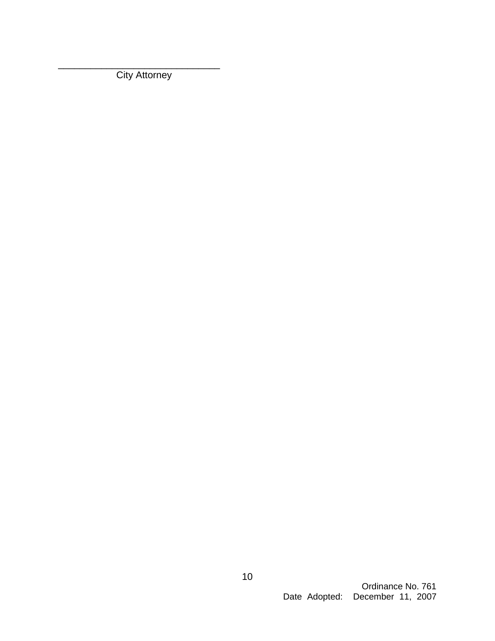\_\_\_\_\_\_\_\_\_\_\_\_\_\_\_\_\_\_\_\_\_\_\_\_\_\_\_\_\_\_ **City Attorney**